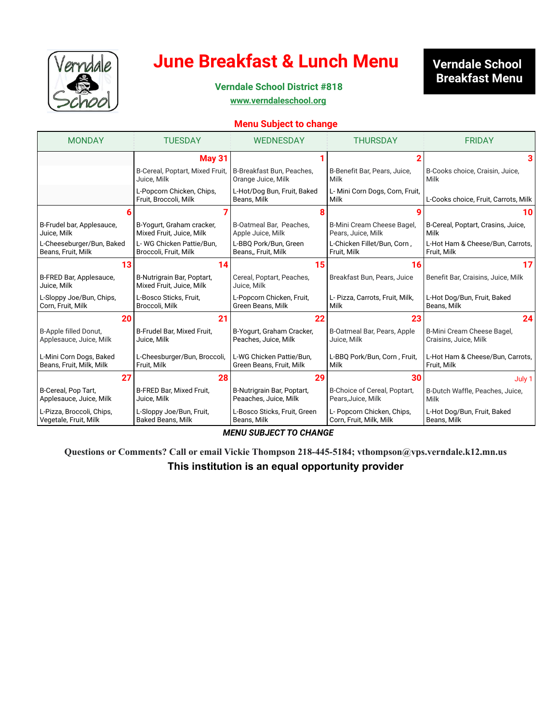

### **June Breakfast & Lunch Menu**

### **Verndale School Breakfast Menu**

**2022 Verndale School District #818**

**[www.verndaleschool.org](http://www.verndaleschool.org/)**

#### **Menu Subject to change**

| <b>MONDAY</b>                          | <b>TUESDAY</b>                                         | <b>WEDNESDAY</b>                           | <b>THURSDAY</b>                         | <b>FRIDAY</b>                        |
|----------------------------------------|--------------------------------------------------------|--------------------------------------------|-----------------------------------------|--------------------------------------|
|                                        | <b>May 31</b>                                          |                                            |                                         |                                      |
|                                        | B-Cereal, Poptart, Mixed Fruit,                        | B-Breakfast Bun, Peaches,                  | B-Benefit Bar, Pears, Juice,            | B-Cooks choice, Craisin, Juice,      |
|                                        | Juice, Milk                                            | Orange Juice, Milk                         | Milk                                    | Milk                                 |
|                                        | L-Popcorn Chicken, Chips,<br>Fruit, Broccoli, Milk     | L-Hot/Dog Bun, Fruit, Baked<br>Beans, Milk | L- Mini Corn Dogs, Corn, Fruit,<br>Milk | L-Cooks choice, Fruit, Carrots, Milk |
|                                        |                                                        |                                            |                                         | 10                                   |
| B-Frudel bar, Applesauce,              | B-Yogurt, Graham cracker,                              | B-Oatmeal Bar, Peaches,                    | B-Mini Cream Cheese Bagel,              | B-Cereal, Poptart, Crasins, Juice,   |
| Juice, Milk                            | Mixed Fruit, Juice, Milk                               | Apple Juice, Milk                          | Pears, Juice, Milk                      | Milk                                 |
| L-Cheeseburger/Bun, Baked              | L-WG Chicken Pattie/Bun.                               | L-BBO Pork/Bun. Green                      | L-Chicken Fillet/Bun, Corn,             | L-Hot Ham & Cheese/Bun, Carrots,     |
| Beans, Fruit, Milk                     | Broccoli, Fruit, Milk                                  | Beans, Fruit, Milk                         | Fruit, Milk                             | Fruit, Milk                          |
| 13                                     | 14                                                     | 15                                         | 16                                      | 17                                   |
| B-FRED Bar, Applesauce,<br>Juice, Milk | B-Nutrigrain Bar, Poptart,<br>Mixed Fruit, Juice, Milk | Cereal, Poptart, Peaches,<br>Juice, Milk   | Breakfast Bun, Pears, Juice             | Benefit Bar, Craisins, Juice, Milk   |
| L-Sloppy Joe/Bun, Chips,               | L-Bosco Sticks, Fruit,                                 | L-Popcorn Chicken, Fruit,                  | L- Pizza, Carrots, Fruit, Milk,         | L-Hot Dog/Bun, Fruit, Baked          |
| Corn, Fruit, Milk                      | Broccoli, Milk                                         | Green Beans, Milk                          | Milk                                    | Beans, Milk                          |
| 20                                     | 21                                                     | 22                                         | 23                                      | 24                                   |
| B-Apple filled Donut,                  | B-Frudel Bar, Mixed Fruit,                             | B-Yogurt, Graham Cracker,                  | B-Oatmeal Bar, Pears, Apple             | B-Mini Cream Cheese Bagel,           |
| Applesauce, Juice, Milk                | Juice, Milk                                            | Peaches, Juice, Milk                       | Juice, Milk                             | Craisins, Juice, Milk                |
| L-Mini Corn Dogs, Baked                | L-Cheesburger/Bun, Broccoli,                           | L-WG Chicken Pattie/Bun.                   | L-BBQ Pork/Bun, Corn, Fruit,            | L-Hot Ham & Cheese/Bun, Carrots,     |
| Beans, Fruit, Milk, Milk               | Fruit, Milk                                            | Green Beans, Fruit, Milk                   | Milk                                    | Fruit, Milk                          |
| 27                                     | 28                                                     | 29                                         | 30                                      | July 1                               |
| B-Cereal, Pop Tart,                    | B-FRED Bar, Mixed Fruit,                               | B-Nutrigrain Bar, Poptart,                 | B-Choice of Cereal, Poptart,            | B-Dutch Waffle, Peaches, Juice,      |
| Applesauce, Juice, Milk                | Juice, Milk                                            | Peaaches, Juice, Milk                      | Pears, Juice, Milk                      | Milk                                 |
| L-Pizza, Broccoli, Chips,              | L-Sloppy Joe/Bun, Fruit,                               | L-Bosco Sticks, Fruit, Green               | L- Popcorn Chicken, Chips,              | L-Hot Dog/Bun, Fruit, Baked          |
| Vegetale, Fruit, Milk                  | <b>Baked Beans, Milk</b>                               | Beans, Milk                                | Corn, Fruit, Milk, Milk                 | Beans, Milk                          |

*MENU SUBJECT TO CHANGE*

**Questions or Comments? Call or email Vickie Thompson 218-445-5184; vthompson@vps.verndale.k12.mn.us This institution is an equal opportunity provider**